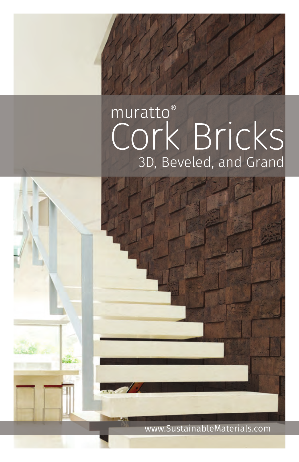## muratto<sup>®</sup> CORK Bricks



www.SustainableMaterials.com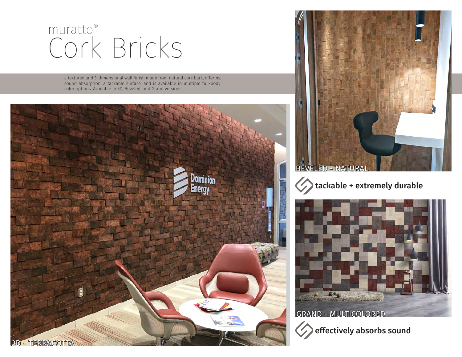## Cork Bricks muratto®

a textured and 3-dimensional wall finish made from natural cork bark, offering sound absorption, a tackable surface, and is available in multiple full-body color options. Available in 3D, Beveled, and Grand versions









GRAND - MULTICOLORED

 $\bigcirc$ effectively absorbs sound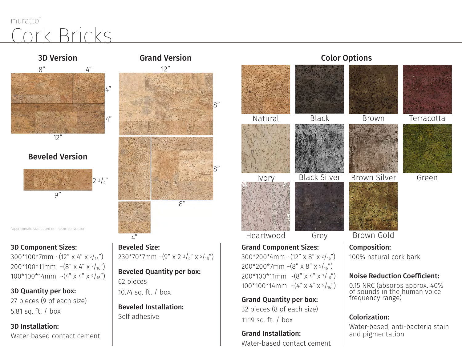## Rricks muratto



#### Beveled Version



\*approximate size based on metric conversion

#### 3D Component Sizes:

 $300*100*7mm$  ~(12" x 4" x  $5/16"$ ) 200\*100\*11mm ~(8" x 4" x 7 /16")  $100*100*14$ mm ~ $(4" \times 4" \times 9)'_{16}$ ")

3D Quantity per box: 27 pieces (9 of each size) 5.81 sq. ft. / box

3D Installation: Water-based contact cement



#### Beveled Size:  $230*70*7mm$  ~(9" x 2  $3/4$ " x  $5/16$ ")

Beveled Quantity per box: 62 pieces 10.74 sq. ft. / box

Beveled Installation: Self adhesive

 $\overline{A}$ 

# Grand Component Sizes: Black Silver Black Heartwood Grey Ivory Natural

300\*200\*4mm ~(12" x 8" x  $\frac{2}{16}$ ") 200\*200\*7mm ~ $(8" \times 8" \times 5/16")$ 200\*100\*11mm ~(8" x 4" x 7 /16") 100\*100\*14mm ~ $(4" \times 4" \times 9)'_{16}$ ")

Grand Quantity per box: 32 pieces (8 of each size) 11.19 sq. ft. / box

Grand Installation: Water-based contact cement

#### Color Options



#### Noise Reduction Coefficient:

0.15 NRC (absorbs approx. 40% of sounds in the human voice frequency range)

#### Colorization:

Water-based, anti-bacteria stain and pigmentation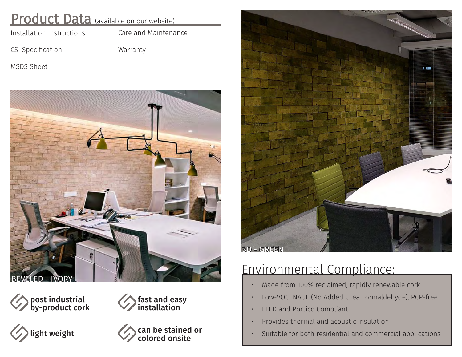### Product Data (available on our website)

[Installation Instructions](http://www.sustainablematerials.com/wp-content/uploads/2015/01/Cork-Bricks-all-Installation-Instructions-SM-2017.pdf)

[Care and Maintenance](http://www.sustainablematerials.com/wp-content/uploads/2015/01/Cork-Bricks-all-Care-and-Maintenance-SM2017.pdf)

[CSI Specification](http://www.sustainablematerials.com/wp-content/uploads/2015/01/Cork-Bricks-all-CSI-SM2017.pdf)

[Warranty](http://www.sustainablematerials.com/wp-content/uploads/2015/01/Cork-Bricks-all-Warranty-SM-2017.pdf)

[MSDS Sheet](http://www.sustainablematerials.com/wp-content/uploads/2015/01/Cork-Bricks-all-MSDS-SM2017.pdf)



 $F$ led - IVOR













## Environmental Compliance:

- Made from 100% reclaimed, rapidly renewable cork
- Low-VOC, NAUF (No Added Urea Formaldehyde), PCP-free
- LEED and Portico Compliant
- Provides thermal and acoustic insulation
- Suitable for both residential and commercial applications